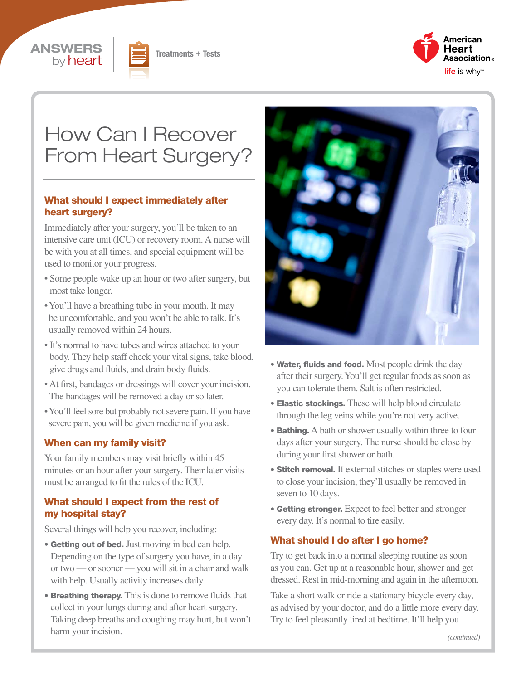





# How Can I Recover From Heart Surgery?

#### What should I expect immediately after heart surgery?

Immediately after your surgery, you'll be taken to an intensive care unit (ICU) or recovery room. A nurse will be with you at all times, and special equipment will be used to monitor your progress.

- Some people wake up an hour or two after surgery, but most take longer.
- You'll have a breathing tube in your mouth. It may be uncomfortable, and you won't be able to talk. It's usually removed within 24 hours.
- It's normal to have tubes and wires attached to your body. They help staff check your vital signs, take blood, give drugs and fluids, and drain body fluids.
- At first, bandages or dressings will cover your incision. The bandages will be removed a day or so later.
- You'll feel sore but probably not severe pain. If you have severe pain, you will be given medicine if you ask.

#### When can my family visit?

Your family members may visit briefly within 45 minutes or an hour after your surgery. Their later visits must be arranged to fit the rules of the ICU.

#### What should I expect from the rest of my hospital stay?

Several things will help you recover, including:

- Getting out of bed. Just moving in bed can help. Depending on the type of surgery you have, in a day or two — or sooner — you will sit in a chair and walk with help. Usually activity increases daily.
- Breathing therapy. This is done to remove fluids that collect in your lungs during and after heart surgery. Taking deep breaths and coughing may hurt, but won't harm your incision.



- Water, fluids and food. Most people drink the day after their surgery. You'll get regular foods as soon as you can tolerate them. Salt is often restricted.
- Elastic stockings. These will help blood circulate through the leg veins while you're not very active.
- Bathing. A bath or shower usually within three to four days after your surgery. The nurse should be close by during your first shower or bath.
- Stitch removal. If external stitches or staples were used to close your incision, they'll usually be removed in seven to 10 days.
- Getting stronger. Expect to feel better and stronger every day. It's normal to tire easily.

#### What should I do after I go home?

Try to get back into a normal sleeping routine as soon as you can. Get up at a reasonable hour, shower and get dressed. Rest in mid-morning and again in the afternoon.

Take a short walk or ride a stationary bicycle every day, as advised by your doctor, and do a little more every day. Try to feel pleasantly tired at bedtime. It'll help you